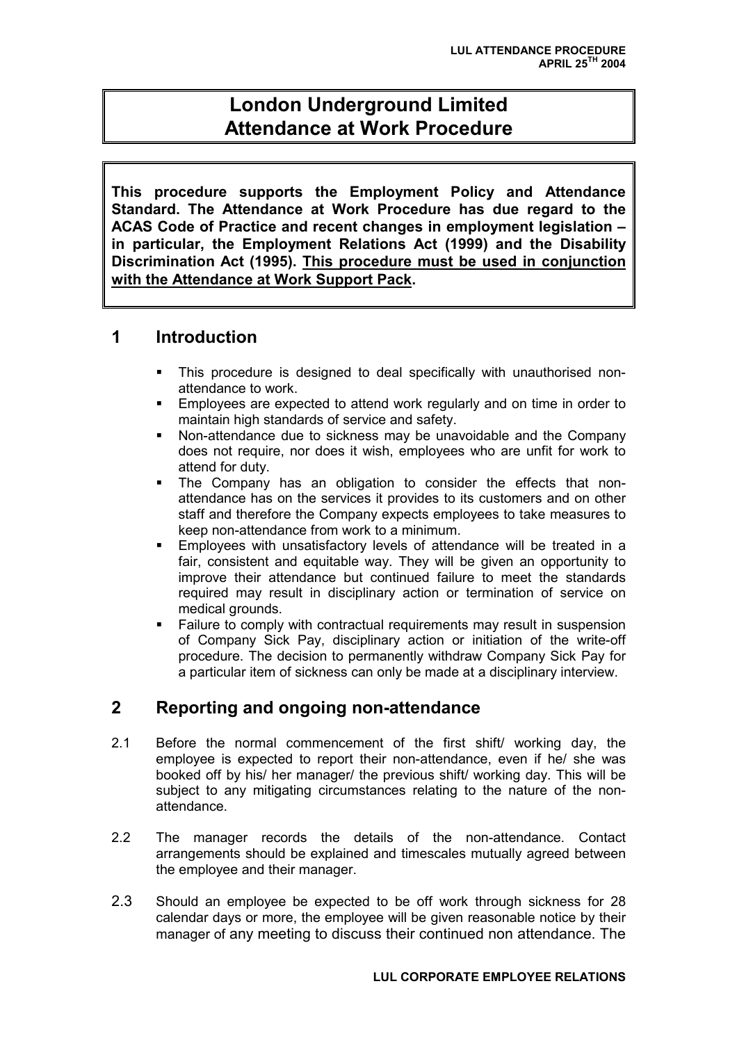# **London Underground Limited Attendance at Work Procedure**

**This procedure supports the Employment Policy and Attendance Standard. The Attendance at Work Procedure has due regard to the ACAS Code of Practice and recent changes in employment legislation – in particular, the Employment Relations Act (1999) and the Disability Discrimination Act (1995). This procedure must be used in conjunction with the Attendance at Work Support Pack.**

# **1 Introduction**

- This procedure is designed to deal specifically with unauthorised nonattendance to work.
- Employees are expected to attend work regularly and on time in order to maintain high standards of service and safety.
- Non-attendance due to sickness may be unavoidable and the Company does not require, nor does it wish, employees who are unfit for work to attend for duty.
- The Company has an obligation to consider the effects that nonattendance has on the services it provides to its customers and on other staff and therefore the Company expects employees to take measures to keep non-attendance from work to a minimum.
- Employees with unsatisfactory levels of attendance will be treated in a fair, consistent and equitable way. They will be given an opportunity to improve their attendance but continued failure to meet the standards required may result in disciplinary action or termination of service on medical grounds.
- Failure to comply with contractual requirements may result in suspension of Company Sick Pay, disciplinary action or initiation of the write-off procedure. The decision to permanently withdraw Company Sick Pay for a particular item of sickness can only be made at a disciplinary interview.

# **2 Reporting and ongoing non-attendance**

- 2.1 Before the normal commencement of the first shift/ working day, the employee is expected to report their non-attendance, even if he/ she was booked off by his/ her manager/ the previous shift/ working day. This will be subject to any mitigating circumstances relating to the nature of the nonattendance.
- 2.2 The manager records the details of the non-attendance. Contact arrangements should be explained and timescales mutually agreed between the employee and their manager.
- 2.3 Should an employee be expected to be off work through sickness for 28 calendar days or more, the employee will be given reasonable notice by their manager of any meeting to discuss their continued non attendance. The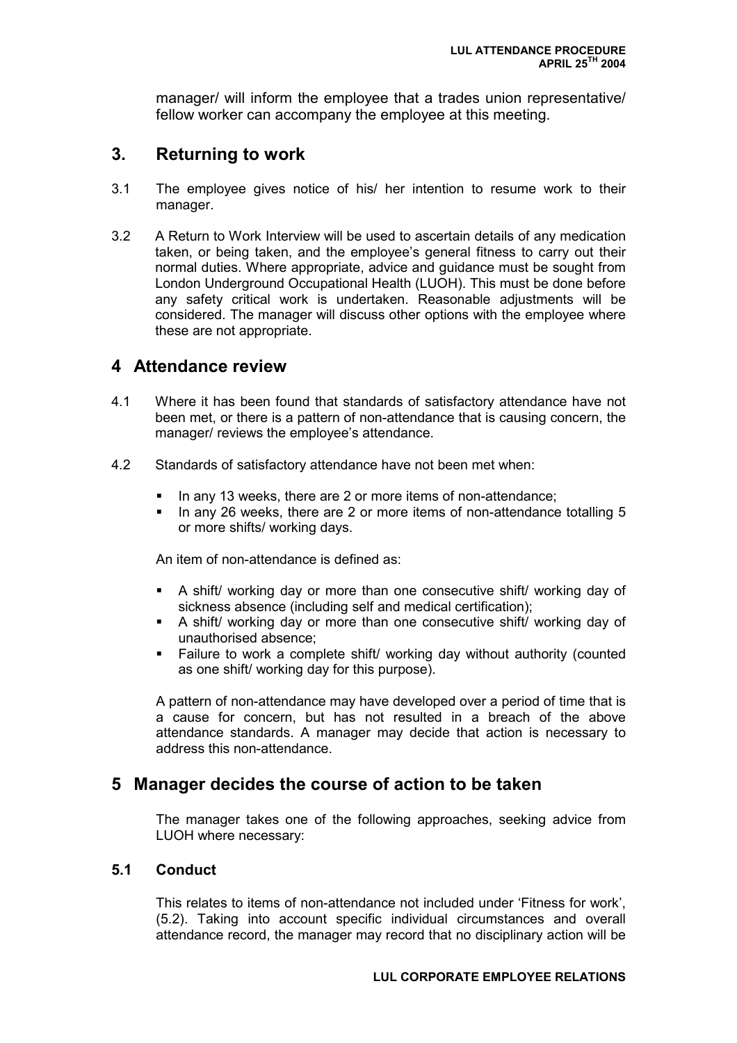manager/ will inform the employee that a trades union representative/ fellow worker can accompany the employee at this meeting.

### **3. Returning to work**

- 3.1 The employee gives notice of his/ her intention to resume work to their manager.
- 3.2 A Return to Work Interview will be used to ascertain details of any medication taken, or being taken, and the employee's general fitness to carry out their normal duties. Where appropriate, advice and guidance must be sought from London Underground Occupational Health (LUOH). This must be done before any safety critical work is undertaken. Reasonable adjustments will be considered. The manager will discuss other options with the employee where these are not appropriate.

### **4 Attendance review**

- 4.1 Where it has been found that standards of satisfactory attendance have not been met, or there is a pattern of non-attendance that is causing concern, the manager/ reviews the employee's attendance.
- 4.2 Standards of satisfactory attendance have not been met when:
	- In any 13 weeks, there are 2 or more items of non-attendance;
	- In any 26 weeks, there are 2 or more items of non-attendance totalling 5 or more shifts/ working days.

An item of non-attendance is defined as:

- A shift/ working day or more than one consecutive shift/ working day of sickness absence (including self and medical certification);
- A shift/ working day or more than one consecutive shift/ working day of unauthorised absence;
- Failure to work a complete shift/ working day without authority (counted as one shift/ working day for this purpose).

A pattern of non-attendance may have developed over a period of time that is a cause for concern, but has not resulted in a breach of the above attendance standards. A manager may decide that action is necessary to address this non-attendance.

### **5 Manager decides the course of action to be taken**

The manager takes one of the following approaches, seeking advice from LUOH where necessary:

#### **5.1 Conduct**

This relates to items of non-attendance not included under 'Fitness for work', (5.2). Taking into account specific individual circumstances and overall attendance record, the manager may record that no disciplinary action will be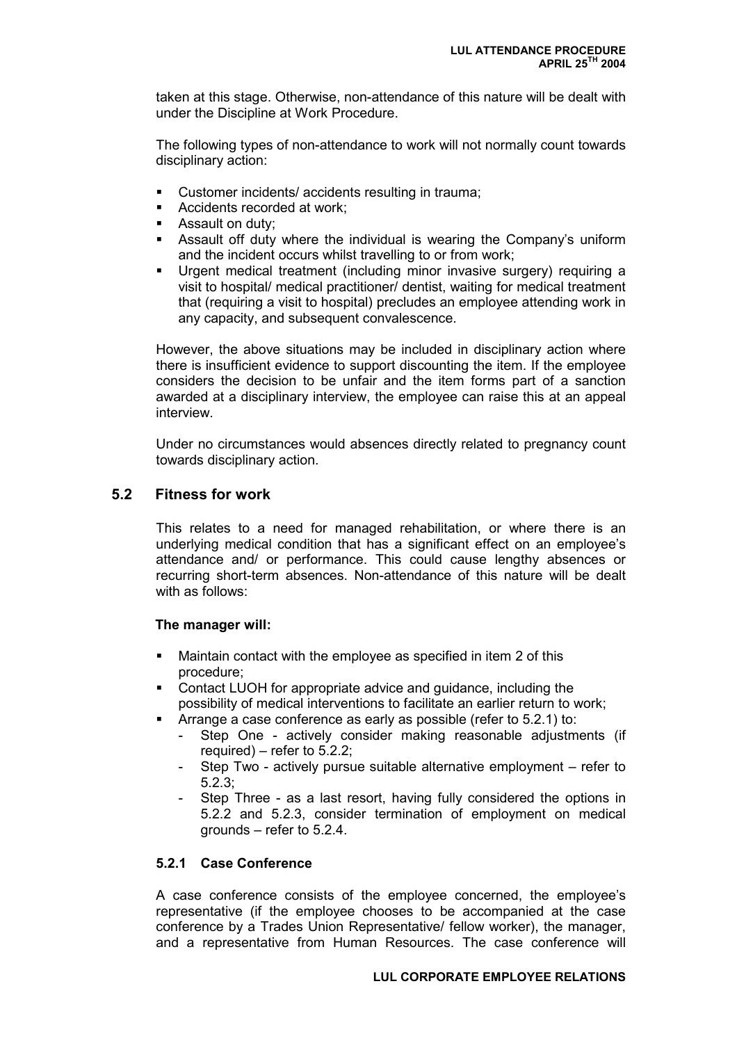taken at this stage. Otherwise, non-attendance of this nature will be dealt with under the Discipline at Work Procedure.

The following types of non-attendance to work will not normally count towards disciplinary action:

- Customer incidents/ accidents resulting in trauma;
- **Accidents recorded at work;**
- Assault on duty;
- Assault off duty where the individual is wearing the Company's uniform and the incident occurs whilst travelling to or from work;
- Urgent medical treatment (including minor invasive surgery) requiring a visit to hospital/ medical practitioner/ dentist, waiting for medical treatment that (requiring a visit to hospital) precludes an employee attending work in any capacity, and subsequent convalescence.

However, the above situations may be included in disciplinary action where there is insufficient evidence to support discounting the item. If the employee considers the decision to be unfair and the item forms part of a sanction awarded at a disciplinary interview, the employee can raise this at an appeal interview.

Under no circumstances would absences directly related to pregnancy count towards disciplinary action.

#### **5.2 Fitness for work**

This relates to a need for managed rehabilitation, or where there is an underlying medical condition that has a significant effect on an employee's attendance and/ or performance. This could cause lengthy absences or recurring short-term absences. Non-attendance of this nature will be dealt with as follows:

#### **The manager will:**

- Maintain contact with the employee as specified in item 2 of this procedure;
- Contact LUOH for appropriate advice and guidance, including the possibility of medical interventions to facilitate an earlier return to work;
- Arrange a case conference as early as possible (refer to 5.2.1) to:
	- Step One actively consider making reasonable adjustments (if required) – refer to 5.2.2;
	- Step Two actively pursue suitable alternative employment refer to 5.2.3;
	- Step Three as a last resort, having fully considered the options in 5.2.2 and 5.2.3, consider termination of employment on medical grounds – refer to 5.2.4.

#### **5.2.1 Case Conference**

A case conference consists of the employee concerned, the employee's representative (if the employee chooses to be accompanied at the case conference by a Trades Union Representative/ fellow worker), the manager, and a representative from Human Resources. The case conference will